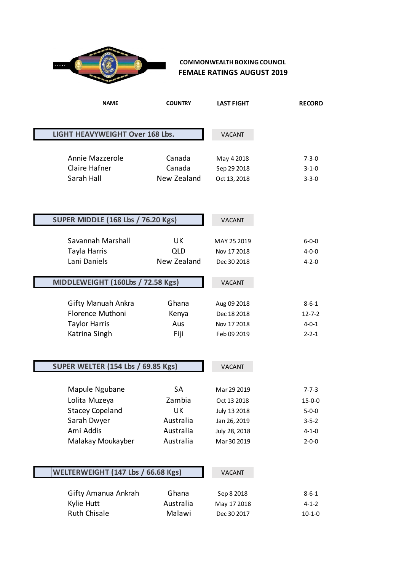

### **COMMONWEALTH BOXING COUNCIL FEMALE RATINGS AUGUST 2019**

| <b>NAME</b>                               | <b>COUNTRY</b> | <b>LAST FIGHT</b> | <b>RECORD</b> |
|-------------------------------------------|----------------|-------------------|---------------|
|                                           |                |                   |               |
| LIGHT HEAVYWEIGHT Over 168 Lbs.           |                | <b>VACANT</b>     |               |
|                                           |                |                   |               |
| Annie Mazzerole                           | Canada         | May 4 2018        | $7 - 3 - 0$   |
| Claire Hafner                             | Canada         | Sep 29 2018       | $3 - 1 - 0$   |
| Sarah Hall                                | New Zealand    | Oct 13, 2018      | $3 - 3 - 0$   |
|                                           |                |                   |               |
|                                           |                |                   |               |
|                                           |                | <b>VACANT</b>     |               |
| <b>SUPER MIDDLE (168 Lbs / 76.20 Kgs)</b> |                |                   |               |
| Savannah Marshall                         | UK             | MAY 25 2019       | $6 - 0 - 0$   |
| Tayla Harris                              | QLD            | Nov 17 2018       | $4 - 0 - 0$   |
| Lani Daniels                              | New Zealand    | Dec 30 2018       | $4 - 2 - 0$   |
|                                           |                |                   |               |
| MIDDLEWEIGHT (160Lbs / 72.58 Kgs)         |                | <b>VACANT</b>     |               |
|                                           |                |                   |               |
| <b>Gifty Manuah Ankra</b>                 | Ghana          | Aug 09 2018       | $8 - 6 - 1$   |
| Florence Muthoni                          | Kenya          | Dec 18 2018       | $12 - 7 - 2$  |
| <b>Taylor Harris</b>                      | Aus            | Nov 17 2018       | $4 - 0 - 1$   |
| Katrina Singh                             | Fiji           | Feb 09 2019       | $2 - 2 - 1$   |
|                                           |                |                   |               |
| <b>SUPER WELTER (154 Lbs / 69.85 Kgs)</b> |                | <b>VACANT</b>     |               |
|                                           |                |                   |               |
| Mapule Ngubane                            | <b>SA</b>      | Mar 29 2019       | $7 - 7 - 3$   |
| Lolita Muzeya                             | Zambia         | Oct 13 2018       | $15 - 0 - 0$  |
| <b>Stacey Copeland</b>                    | UK             | July 13 2018      | $5 - 0 - 0$   |
| Sarah Dwyer                               | Australia      | Jan 26, 2019      | $3 - 5 - 2$   |
| Ami Addis                                 | Australia      | July 28, 2018     | $4 - 1 - 0$   |
| Malakay Moukayber                         | Australia      | Mar 30 2019       | $2 - 0 - 0$   |
|                                           |                |                   |               |
| WELTERWEIGHT (147 Lbs / 66.68 Kgs)        |                |                   |               |
|                                           |                | <b>VACANT</b>     |               |
| Gifty Amanua Ankrah                       | Ghana          | Sep 8 2018        | $8 - 6 - 1$   |
| Kylie Hutt                                | Australia      | May 17 2018       | $4 - 1 - 2$   |
| <b>Ruth Chisale</b>                       | Malawi         | Dec 30 2017       | $10 - 1 - 0$  |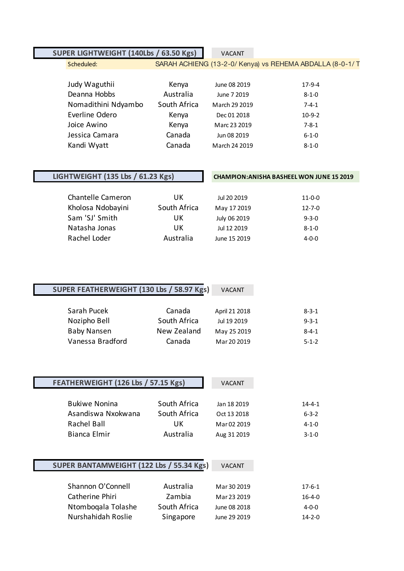# **SUPER LIGHTWEIGHT (140Lbs / 63.50 Kgs)** VACANT

### Scheduled: SARAH ACHIENG (13-2-0/ Kenya) vs REHEMA ABDALLA (8-0-1/ T

| Judy Waguthii       | Kenya        | June 08 2019  | $17-9-4$    |
|---------------------|--------------|---------------|-------------|
| Deanna Hobbs        | Australia    | June 7 2019   | $8 - 1 - 0$ |
| Nomadithini Ndyambo | South Africa | March 29 2019 | $7 - 4 - 1$ |
| Everline Odero      | Kenya        | Dec 01 2018   | $10-9-2$    |
| Joice Awino         | Kenya        | Marc 23 2019  | $7 - 8 - 1$ |
| Jessica Camara      | Canada       | Jun 08 2019   | $6 - 1 - 0$ |
| Kandi Wyatt         | Canada       | March 24 2019 | $8 - 1 - 0$ |

L

# **LIGHTWEIGHT (135 Lbs / 61.23 Kgs) CHAMPION:ANISHA BASHEEL WON JUNE 15 2019**

| Chantelle Cameron | UK           | Jul 20 2019  | $11 - 0 - 0$ |
|-------------------|--------------|--------------|--------------|
| Kholosa Ndobayini | South Africa | May 17 2019  | $12 - 7 - 0$ |
| Sam 'SJ' Smith    | UK           | July 06 2019 | $9 - 3 - 0$  |
| Natasha Jonas     | UK           | Jul 12 2019  | $8 - 1 - 0$  |
| Rachel Loder      | Australia    | June 15 2019 | $4 - 0 - 0$  |

| SUPER FEATHERWEIGHT (130 Lbs / 58.97 Kgs) |              | <b>VACANT</b> |             |
|-------------------------------------------|--------------|---------------|-------------|
|                                           |              |               |             |
| Sarah Pucek                               | Canada       | April 21 2018 | $8 - 3 - 1$ |
| Nozipho Bell                              | South Africa | Jul 19 2019   | $9 - 3 - 1$ |
| <b>Baby Nansen</b>                        | New Zealand  | May 25 2019   | $8 - 4 - 1$ |
| Vanessa Bradford                          | Canada       | Mar 20 2019   | $5 - 1 - 2$ |

| FEATHERWEIGHT (126 Lbs / 57.15 Kgs) |              | <b>VACANT</b> |              |
|-------------------------------------|--------------|---------------|--------------|
| <b>Bukiwe Nonina</b>                | South Africa | Jan 18 2019   | $14 - 4 - 1$ |
| Asandiswa Nxokwana                  | South Africa | Oct 13 2018   | $6 - 3 - 2$  |
| Rachel Ball                         | UK.          | Mar 02 2019   | $4 - 1 - 0$  |
| Bianca Elmir                        | Australia    | Aug 31 2019   | $3 - 1 - 0$  |

# **SUPER BANTAMWEIGHT (122 Lbs / 55.34 Kgs)** VACANT

| Shannon O'Connell  | Australia    | Mar 30 2019  | 17-6-1       |
|--------------------|--------------|--------------|--------------|
| Catherine Phiri    | Zambia       | Mar 23 2019  | $16 - 4 - 0$ |
| Ntombogala Tolashe | South Africa | June 08 2018 | $4 - 0 - 0$  |
| Nurshahidah Roslie | Singapore    | June 29 2019 | $14 - 2 - 0$ |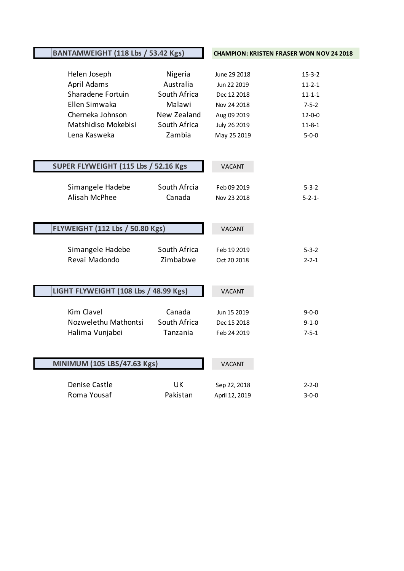| BANTAMWEIGHT (118 Lbs / 53.42 Kgs) |                                        | <b>CHAMPION: KRISTEN FRASER WON NOV 24 2018</b> |                |               |
|------------------------------------|----------------------------------------|-------------------------------------------------|----------------|---------------|
|                                    |                                        |                                                 |                |               |
|                                    | Helen Joseph                           | Nigeria                                         | June 29 2018   | $15 - 3 - 2$  |
|                                    | April Adams                            | Australia                                       | Jun 22 2019    | $11 - 2 - 1$  |
|                                    | Sharadene Fortuin                      | South Africa                                    | Dec 12 2018    | $11 - 1 - 1$  |
|                                    | Ellen Simwaka                          | Malawi                                          | Nov 24 2018    | $7 - 5 - 2$   |
|                                    | Cherneka Johnson                       | New Zealand                                     | Aug 09 2019    | $12 - 0 - 0$  |
|                                    | Matshidiso Mokebisi                    | South Africa                                    | July 26 2019   | $11 - 8 - 1$  |
|                                    | Lena Kasweka                           | Zambia                                          | May 25 2019    | $5 - 0 - 0$   |
|                                    |                                        |                                                 |                |               |
|                                    |                                        |                                                 |                |               |
|                                    | SUPER FLYWEIGHT (115 Lbs / 52.16 Kgs   |                                                 | <b>VACANT</b>  |               |
|                                    |                                        |                                                 |                |               |
|                                    | Simangele Hadebe                       | South Afrcia                                    | Feb 09 2019    | $5 - 3 - 2$   |
|                                    | Alisah McPhee                          | Canada                                          | Nov 23 2018    | $5 - 2 - 1 -$ |
|                                    |                                        |                                                 |                |               |
|                                    |                                        |                                                 |                |               |
|                                    | <b>FLYWEIGHT (112 Lbs / 50.80 Kgs)</b> |                                                 | <b>VACANT</b>  |               |
|                                    |                                        |                                                 |                |               |
|                                    | Simangele Hadebe                       | South Africa                                    | Feb 19 2019    | $5 - 3 - 2$   |
|                                    | Revai Madondo                          | Zimbabwe                                        | Oct 20 2018    | $2 - 2 - 1$   |
|                                    |                                        |                                                 |                |               |
|                                    |                                        |                                                 |                |               |
|                                    | LIGHT FLYWEIGHT (108 Lbs / 48.99 Kgs)  |                                                 | <b>VACANT</b>  |               |
|                                    |                                        |                                                 |                |               |
|                                    | Kim Clavel                             | Canada<br>South Africa                          | Jun 15 2019    | $9 - 0 - 0$   |
|                                    | Nozwelethu Mathontsi                   |                                                 | Dec 15 2018    | $9 - 1 - 0$   |
|                                    | Halima Vunjabei                        | Tanzania                                        | Feb 24 2019    | $7 - 5 - 1$   |
|                                    |                                        |                                                 |                |               |
|                                    | MINIMUM (105 LBS/47.63 Kgs)            |                                                 | <b>VACANT</b>  |               |
|                                    |                                        |                                                 |                |               |
|                                    | Denise Castle                          | <b>UK</b>                                       | Sep 22, 2018   | $2 - 2 - 0$   |
|                                    | Roma Yousaf                            | Pakistan                                        | April 12, 2019 | $3 - 0 - 0$   |
|                                    |                                        |                                                 |                |               |